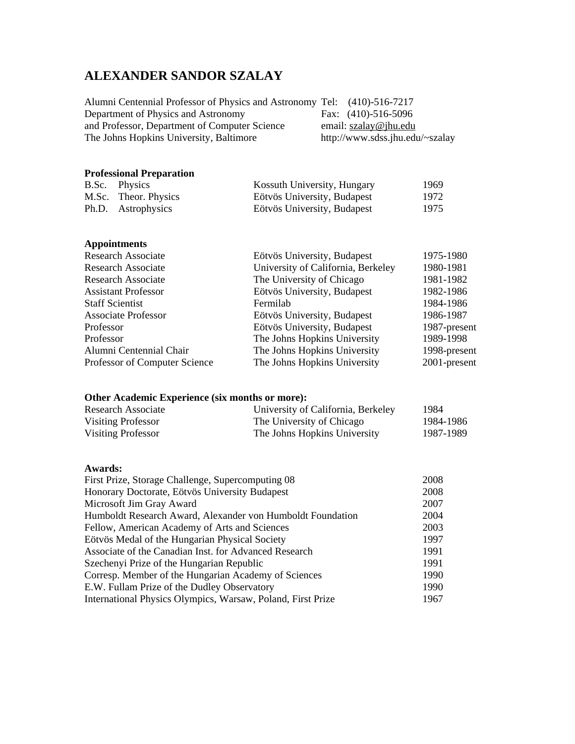# **ALEXANDER SANDOR SZALAY**

| Alumni Centennial Professor of Physics and Astronomy Tel: (410)-516-7217 |                                 |
|--------------------------------------------------------------------------|---------------------------------|
| Department of Physics and Astronomy                                      | Fax: $(410)-516-5096$           |
| and Professor, Department of Computer Science                            | email: szalay@jhu.edu           |
| The Johns Hopkins University, Baltimore                                  | http://www.sdss.jhu.edu/~szalay |

## **Professional Preparation**

| B.Sc. Physics        | Kossuth University, Hungary | 1969 |
|----------------------|-----------------------------|------|
| M.Sc. Theor. Physics | Eötvös University, Budapest | 1972 |
| Ph.D. Astrophysics   | Eötvös University, Budapest | 1975 |

## **Appointments**

| Eötvös University, Budapest        | 1975-1980    |
|------------------------------------|--------------|
| University of California, Berkeley | 1980-1981    |
| The University of Chicago          | 1981-1982    |
| Eötvös University, Budapest        | 1982-1986    |
| Fermilab                           | 1984-1986    |
| Eötvös University, Budapest        | 1986-1987    |
| Eötvös University, Budapest        | 1987-present |
| The Johns Hopkins University       | 1989-1998    |
| The Johns Hopkins University       | 1998-present |
| The Johns Hopkins University       | 2001-present |
|                                    |              |

## **Other Academic Experience (six months or more):**

| Research Associate | University of California, Berkeley | 1984      |
|--------------------|------------------------------------|-----------|
| Visiting Professor | The University of Chicago          | 1984-1986 |
| Visiting Professor | The Johns Hopkins University       | 1987-1989 |

### **Awards:**

| First Prize, Storage Challenge, Supercomputing 08           | 2008 |
|-------------------------------------------------------------|------|
| Honorary Doctorate, Eötvös University Budapest              | 2008 |
| Microsoft Jim Gray Award                                    | 2007 |
| Humboldt Research Award, Alexander von Humboldt Foundation  | 2004 |
| Fellow, American Academy of Arts and Sciences               | 2003 |
| Eötvös Medal of the Hungarian Physical Society              | 1997 |
| Associate of the Canadian Inst. for Advanced Research       | 1991 |
| Szechenyi Prize of the Hungarian Republic                   | 1991 |
| Corresp. Member of the Hungarian Academy of Sciences        | 1990 |
| E.W. Fullam Prize of the Dudley Observatory                 | 1990 |
| International Physics Olympics, Warsaw, Poland, First Prize | 1967 |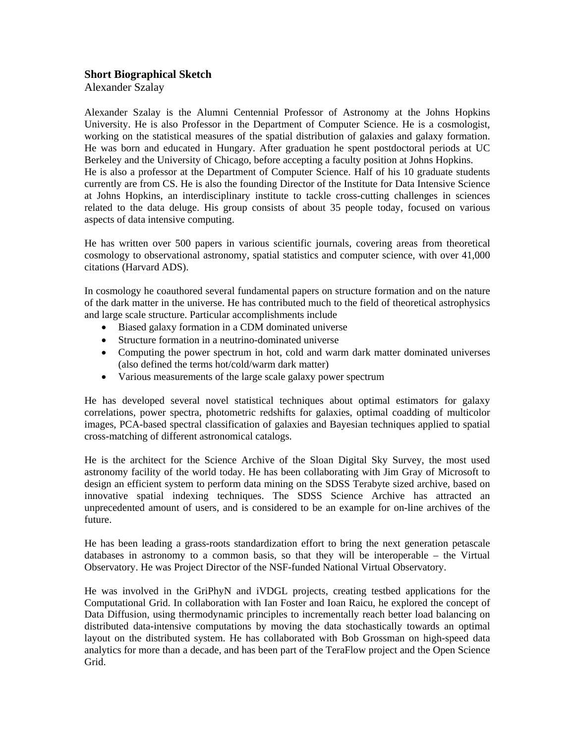## **Short Biographical Sketch**

Alexander Szalay

Alexander Szalay is the Alumni Centennial Professor of Astronomy at the Johns Hopkins University. He is also Professor in the Department of Computer Science. He is a cosmologist, working on the statistical measures of the spatial distribution of galaxies and galaxy formation. He was born and educated in Hungary. After graduation he spent postdoctoral periods at UC Berkeley and the University of Chicago, before accepting a faculty position at Johns Hopkins. He is also a professor at the Department of Computer Science. Half of his 10 graduate students currently are from CS. He is also the founding Director of the Institute for Data Intensive Science at Johns Hopkins, an interdisciplinary institute to tackle cross-cutting challenges in sciences related to the data deluge. His group consists of about 35 people today, focused on various aspects of data intensive computing.

He has written over 500 papers in various scientific journals, covering areas from theoretical cosmology to observational astronomy, spatial statistics and computer science, with over 41,000 citations (Harvard ADS).

In cosmology he coauthored several fundamental papers on structure formation and on the nature of the dark matter in the universe. He has contributed much to the field of theoretical astrophysics and large scale structure. Particular accomplishments include

- Biased galaxy formation in a CDM dominated universe
- Structure formation in a neutrino-dominated universe
- Computing the power spectrum in hot, cold and warm dark matter dominated universes (also defined the terms hot/cold/warm dark matter)
- Various measurements of the large scale galaxy power spectrum

He has developed several novel statistical techniques about optimal estimators for galaxy correlations, power spectra, photometric redshifts for galaxies, optimal coadding of multicolor images, PCA-based spectral classification of galaxies and Bayesian techniques applied to spatial cross-matching of different astronomical catalogs.

He is the architect for the Science Archive of the Sloan Digital Sky Survey, the most used astronomy facility of the world today. He has been collaborating with Jim Gray of Microsoft to design an efficient system to perform data mining on the SDSS Terabyte sized archive, based on innovative spatial indexing techniques. The SDSS Science Archive has attracted an unprecedented amount of users, and is considered to be an example for on-line archives of the future.

He has been leading a grass-roots standardization effort to bring the next generation petascale databases in astronomy to a common basis, so that they will be interoperable – the Virtual Observatory. He was Project Director of the NSF-funded National Virtual Observatory.

He was involved in the GriPhyN and iVDGL projects, creating testbed applications for the Computational Grid. In collaboration with Ian Foster and Ioan Raicu, he explored the concept of Data Diffusion, using thermodynamic principles to incrementally reach better load balancing on distributed data-intensive computations by moving the data stochastically towards an optimal layout on the distributed system. He has collaborated with Bob Grossman on high-speed data analytics for more than a decade, and has been part of the TeraFlow project and the Open Science Grid.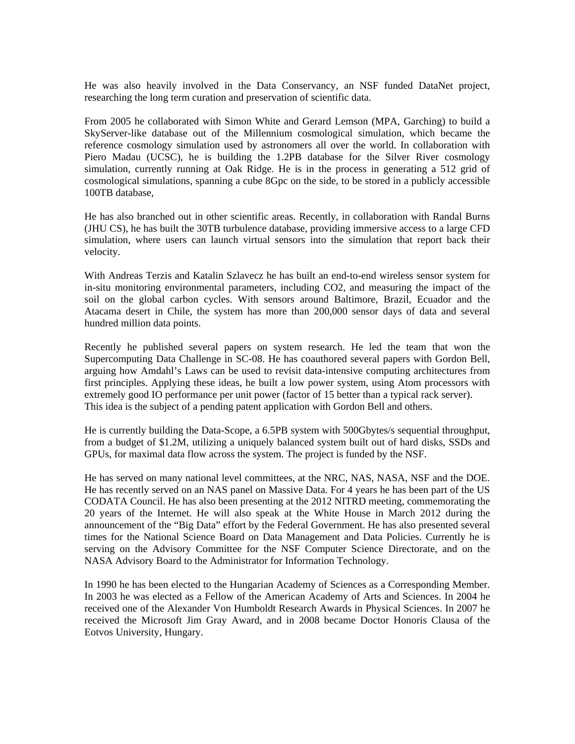He was also heavily involved in the Data Conservancy, an NSF funded DataNet project, researching the long term curation and preservation of scientific data.

From 2005 he collaborated with Simon White and Gerard Lemson (MPA, Garching) to build a SkyServer-like database out of the Millennium cosmological simulation, which became the reference cosmology simulation used by astronomers all over the world. In collaboration with Piero Madau (UCSC), he is building the 1.2PB database for the Silver River cosmology simulation, currently running at Oak Ridge. He is in the process in generating a 512 grid of cosmological simulations, spanning a cube 8Gpc on the side, to be stored in a publicly accessible 100TB database,

He has also branched out in other scientific areas. Recently, in collaboration with Randal Burns (JHU CS), he has built the 30TB turbulence database, providing immersive access to a large CFD simulation, where users can launch virtual sensors into the simulation that report back their velocity.

With Andreas Terzis and Katalin Szlavecz he has built an end-to-end wireless sensor system for in-situ monitoring environmental parameters, including CO2, and measuring the impact of the soil on the global carbon cycles. With sensors around Baltimore, Brazil, Ecuador and the Atacama desert in Chile, the system has more than 200,000 sensor days of data and several hundred million data points.

Recently he published several papers on system research. He led the team that won the Supercomputing Data Challenge in SC-08. He has coauthored several papers with Gordon Bell, arguing how Amdahl's Laws can be used to revisit data-intensive computing architectures from first principles. Applying these ideas, he built a low power system, using Atom processors with extremely good IO performance per unit power (factor of 15 better than a typical rack server). This idea is the subject of a pending patent application with Gordon Bell and others.

He is currently building the Data-Scope, a 6.5PB system with 500Gbytes/s sequential throughput, from a budget of \$1.2M, utilizing a uniquely balanced system built out of hard disks, SSDs and GPUs, for maximal data flow across the system. The project is funded by the NSF.

He has served on many national level committees, at the NRC, NAS, NASA, NSF and the DOE. He has recently served on an NAS panel on Massive Data. For 4 years he has been part of the US CODATA Council. He has also been presenting at the 2012 NITRD meeting, commemorating the 20 years of the Internet. He will also speak at the White House in March 2012 during the announcement of the "Big Data" effort by the Federal Government. He has also presented several times for the National Science Board on Data Management and Data Policies. Currently he is serving on the Advisory Committee for the NSF Computer Science Directorate, and on the NASA Advisory Board to the Administrator for Information Technology.

In 1990 he has been elected to the Hungarian Academy of Sciences as a Corresponding Member. In 2003 he was elected as a Fellow of the American Academy of Arts and Sciences. In 2004 he received one of the Alexander Von Humboldt Research Awards in Physical Sciences. In 2007 he received the Microsoft Jim Gray Award, and in 2008 became Doctor Honoris Clausa of the Eotvos University, Hungary.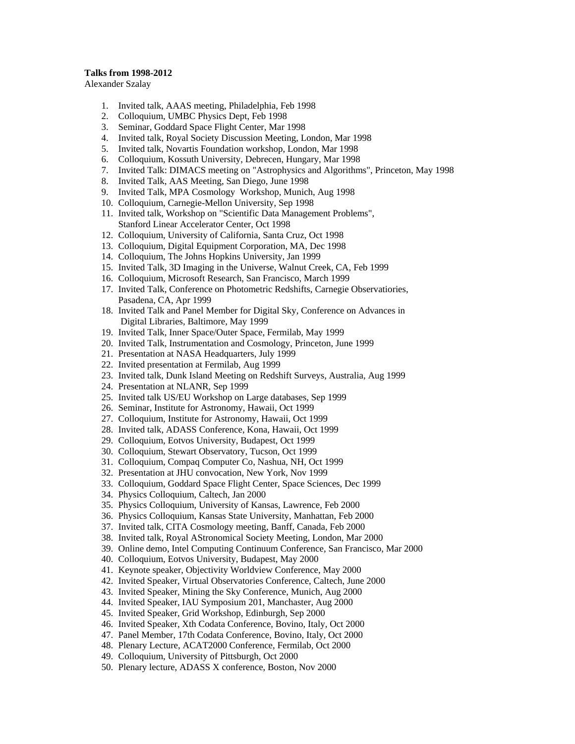#### **Talks from 1998-2012**

Alexander Szalay

- 1. Invited talk, AAAS meeting, Philadelphia, Feb 1998
- 2. Colloquium, UMBC Physics Dept, Feb 1998
- 3. Seminar, Goddard Space Flight Center, Mar 1998
- 4. Invited talk, Royal Society Discussion Meeting, London, Mar 1998
- 5. Invited talk, Novartis Foundation workshop, London, Mar 1998
- 6. Colloquium, Kossuth University, Debrecen, Hungary, Mar 1998
- 7. Invited Talk: DIMACS meeting on "Astrophysics and Algorithms", Princeton, May 1998
- 8. Invited Talk, AAS Meeting, San Diego, June 1998
- 9. Invited Talk, MPA Cosmology Workshop, Munich, Aug 1998
- 10. Colloquium, Carnegie-Mellon University, Sep 1998
- 11. Invited talk, Workshop on "Scientific Data Management Problems", Stanford Linear Accelerator Center, Oct 1998
- 12. Colloquium, University of California, Santa Cruz, Oct 1998
- 13. Colloquium, Digital Equipment Corporation, MA, Dec 1998
- 14. Colloquium, The Johns Hopkins University, Jan 1999
- 15. Invited Talk, 3D Imaging in the Universe, Walnut Creek, CA, Feb 1999
- 16. Colloquium, Microsoft Research, San Francisco, March 1999
- 17. Invited Talk, Conference on Photometric Redshifts, Carnegie Observatiories, Pasadena, CA, Apr 1999
- 18. Invited Talk and Panel Member for Digital Sky, Conference on Advances in Digital Libraries, Baltimore, May 1999
- 19. Invited Talk, Inner Space/Outer Space, Fermilab, May 1999
- 20. Invited Talk, Instrumentation and Cosmology, Princeton, June 1999
- 21. Presentation at NASA Headquarters, July 1999
- 22. Invited presentation at Fermilab, Aug 1999
- 23. Invited talk, Dunk Island Meeting on Redshift Surveys, Australia, Aug 1999
- 24. Presentation at NLANR, Sep 1999
- 25. Invited talk US/EU Workshop on Large databases, Sep 1999
- 26. Seminar, Institute for Astronomy, Hawaii, Oct 1999
- 27. Colloquium, Institute for Astronomy, Hawaii, Oct 1999
- 28. Invited talk, ADASS Conference, Kona, Hawaii, Oct 1999
- 29. Colloquium, Eotvos University, Budapest, Oct 1999
- 30. Colloquium, Stewart Observatory, Tucson, Oct 1999
- 31. Colloquium, Compaq Computer Co, Nashua, NH, Oct 1999
- 32. Presentation at JHU convocation, New York, Nov 1999
- 33. Colloquium, Goddard Space Flight Center, Space Sciences, Dec 1999
- 34. Physics Colloquium, Caltech, Jan 2000
- 35. Physics Colloquium, University of Kansas, Lawrence, Feb 2000
- 36. Physics Colloquium, Kansas State University, Manhattan, Feb 2000
- 37. Invited talk, CITA Cosmology meeting, Banff, Canada, Feb 2000
- 38. Invited talk, Royal AStronomical Society Meeting, London, Mar 2000
- 39. Online demo, Intel Computing Continuum Conference, San Francisco, Mar 2000
- 40. Colloquium, Eotvos University, Budapest, May 2000
- 41. Keynote speaker, Objectivity Worldview Conference, May 2000
- 42. Invited Speaker, Virtual Observatories Conference, Caltech, June 2000
- 43. Invited Speaker, Mining the Sky Conference, Munich, Aug 2000
- 44. Invited Speaker, IAU Symposium 201, Manchaster, Aug 2000
- 45. Invited Speaker, Grid Workshop, Edinburgh, Sep 2000
- 46. Invited Speaker, Xth Codata Conference, Bovino, Italy, Oct 2000
- 47. Panel Member, 17th Codata Conference, Bovino, Italy, Oct 2000
- 48. Plenary Lecture, ACAT2000 Conference, Fermilab, Oct 2000
- 49. Colloquium, University of Pittsburgh, Oct 2000
- 50. Plenary lecture, ADASS X conference, Boston, Nov 2000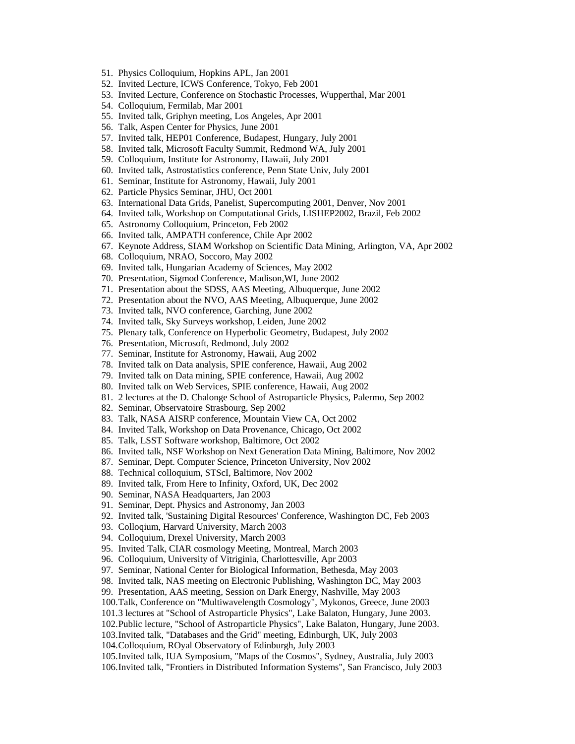- 51. Physics Colloquium, Hopkins APL, Jan 2001
- 52. Invited Lecture, ICWS Conference, Tokyo, Feb 2001
- 53. Invited Lecture, Conference on Stochastic Processes, Wupperthal, Mar 2001
- 54. Colloquium, Fermilab, Mar 2001
- 55. Invited talk, Griphyn meeting, Los Angeles, Apr 2001
- 56. Talk, Aspen Center for Physics, June 2001
- 57. Invited talk, HEP01 Conference, Budapest, Hungary, July 2001
- 58. Invited talk, Microsoft Faculty Summit, Redmond WA, July 2001
- 59. Colloquium, Institute for Astronomy, Hawaii, July 2001
- 60. Invited talk, Astrostatistics conference, Penn State Univ, July 2001
- 61. Seminar, Institute for Astronomy, Hawaii, July 2001
- 62. Particle Physics Seminar, JHU, Oct 2001
- 63. International Data Grids, Panelist, Supercomputing 2001, Denver, Nov 2001
- 64. Invited talk, Workshop on Computational Grids, LISHEP2002, Brazil, Feb 2002
- 65. Astronomy Colloquium, Princeton, Feb 2002
- 66. Invited talk, AMPATH conference, Chile Apr 2002
- 67. Keynote Address, SIAM Workshop on Scientific Data Mining, Arlington, VA, Apr 2002
- 68. Colloquium, NRAO, Soccoro, May 2002
- 69. Invited talk, Hungarian Academy of Sciences, May 2002
- 70. Presentation, Sigmod Conference, Madison,WI, June 2002
- 71. Presentation about the SDSS, AAS Meeting, Albuquerque, June 2002
- 72. Presentation about the NVO, AAS Meeting, Albuquerque, June 2002
- 73. Invited talk, NVO conference, Garching, June 2002
- 74. Invited talk, Sky Surveys workshop, Leiden, June 2002
- 75. Plenary talk, Conference on Hyperbolic Geometry, Budapest, July 2002
- 76. Presentation, Microsoft, Redmond, July 2002
- 77. Seminar, Institute for Astronomy, Hawaii, Aug 2002
- 78. Invited talk on Data analysis, SPIE conference, Hawaii, Aug 2002
- 79. Invited talk on Data mining, SPIE conference, Hawaii, Aug 2002
- 80. Invited talk on Web Services, SPIE conference, Hawaii, Aug 2002
- 81. 2 lectures at the D. Chalonge School of Astroparticle Physics, Palermo, Sep 2002
- 82. Seminar, Observatoire Strasbourg, Sep 2002
- 83. Talk, NASA AISRP conference, Mountain View CA, Oct 2002
- 84. Invited Talk, Workshop on Data Provenance, Chicago, Oct 2002
- 85. Talk, LSST Software workshop, Baltimore, Oct 2002
- 86. Invited talk, NSF Workshop on Next Generation Data Mining, Baltimore, Nov 2002
- 87. Seminar, Dept. Computer Science, Princeton University, Nov 2002
- 88. Technical colloquium, STScI, Baltimore, Nov 2002
- 89. Invited talk, From Here to Infinity, Oxford, UK, Dec 2002
- 90. Seminar, NASA Headquarters, Jan 2003
- 91. Seminar, Dept. Physics and Astronomy, Jan 2003
- 92. Invited talk, 'Sustaining Digital Resources' Conference, Washington DC, Feb 2003
- 93. Colloqium, Harvard University, March 2003
- 94. Colloquium, Drexel University, March 2003
- 95. Invited Talk, CIAR cosmology Meeting, Montreal, March 2003
- 96. Colloquium, University of Vitriginia, Charlottesville, Apr 2003
- 97. Seminar, National Center for Biological Information, Bethesda, May 2003
- 98. Invited talk, NAS meeting on Electronic Publishing, Washington DC, May 2003
- 99. Presentation, AAS meeting, Session on Dark Energy, Nashville, May 2003
- 100.Talk, Conference on "Multiwavelength Cosmology", Mykonos, Greece, June 2003
- 101.3 lectures at "School of Astroparticle Physics", Lake Balaton, Hungary, June 2003.
- 102.Public lecture, "School of Astroparticle Physics", Lake Balaton, Hungary, June 2003.
- 103.Invited talk, "Databases and the Grid" meeting, Edinburgh, UK, July 2003
- 104.Colloquium, ROyal Observatory of Edinburgh, July 2003
- 105.Invited talk, IUA Symposium, "Maps of the Cosmos", Sydney, Australia, July 2003
- 106.Invited talk, "Frontiers in Distributed Information Systems", San Francisco, July 2003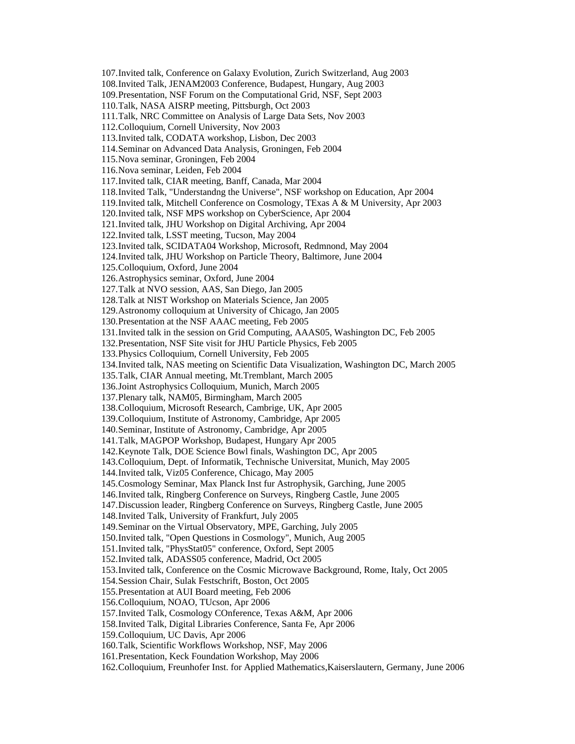107.Invited talk, Conference on Galaxy Evolution, Zurich Switzerland, Aug 2003 108.Invited Talk, JENAM2003 Conference, Budapest, Hungary, Aug 2003 109.Presentation, NSF Forum on the Computational Grid, NSF, Sept 2003 110.Talk, NASA AISRP meeting, Pittsburgh, Oct 2003 111.Talk, NRC Committee on Analysis of Large Data Sets, Nov 2003 112.Colloquium, Cornell University, Nov 2003 113.Invited talk, CODATA workshop, Lisbon, Dec 2003 114.Seminar on Advanced Data Analysis, Groningen, Feb 2004 115.Nova seminar, Groningen, Feb 2004 116.Nova seminar, Leiden, Feb 2004 117.Invited talk, CIAR meeting, Banff, Canada, Mar 2004 118.Invited Talk, "Understandng the Universe", NSF workshop on Education, Apr 2004 119.Invited talk, Mitchell Conference on Cosmology, TExas A & M University, Apr 2003 120.Invited talk, NSF MPS workshop on CyberScience, Apr 2004 121.Invited talk, JHU Workshop on Digital Archiving, Apr 2004 122.Invited talk, LSST meeting, Tucson, May 2004 123.Invited talk, SCIDATA04 Workshop, Microsoft, Redmnond, May 2004 124.Invited talk, JHU Workshop on Particle Theory, Baltimore, June 2004 125.Colloquium, Oxford, June 2004 126.Astrophysics seminar, Oxford, June 2004 127.Talk at NVO session, AAS, San Diego, Jan 2005 128.Talk at NIST Workshop on Materials Science, Jan 2005 129.Astronomy colloquium at University of Chicago, Jan 2005 130.Presentation at the NSF AAAC meeting, Feb 2005 131.Invited talk in the session on Grid Computing, AAAS05, Washington DC, Feb 2005 132.Presentation, NSF Site visit for JHU Particle Physics, Feb 2005 133.Physics Colloquium, Cornell University, Feb 2005 134.Invited talk, NAS meeting on Scientific Data Visualization, Washington DC, March 2005 135.Talk, CIAR Annual meeting, Mt.Tremblant, March 2005 136.Joint Astrophysics Colloquium, Munich, March 2005 137.Plenary talk, NAM05, Birmingham, March 2005 138.Colloquium, Microsoft Research, Cambrige, UK, Apr 2005 139.Colloquium, Institute of Astronomy, Cambridge, Apr 2005 140.Seminar, Institute of Astronomy, Cambridge, Apr 2005 141.Talk, MAGPOP Workshop, Budapest, Hungary Apr 2005 142.Keynote Talk, DOE Science Bowl finals, Washington DC, Apr 2005 143.Colloquium, Dept. of Informatik, Technische Universitat, Munich, May 2005 144.Invited talk, Viz05 Conference, Chicago, May 2005 145.Cosmology Seminar, Max Planck Inst fur Astrophysik, Garching, June 2005 146.Invited talk, Ringberg Conference on Surveys, Ringberg Castle, June 2005 147.Discussion leader, Ringberg Conference on Surveys, Ringberg Castle, June 2005 148.Invited Talk, University of Frankfurt, July 2005 149.Seminar on the Virtual Observatory, MPE, Garching, July 2005 150.Invited talk, "Open Questions in Cosmology", Munich, Aug 2005 151.Invited talk, "PhysStat05" conference, Oxford, Sept 2005 152.Invited talk, ADASS05 conference, Madrid, Oct 2005 153.Invited talk, Conference on the Cosmic Microwave Background, Rome, Italy, Oct 2005 154.Session Chair, Sulak Festschrift, Boston, Oct 2005 155.Presentation at AUI Board meeting, Feb 2006 156.Colloquium, NOAO, TUcson, Apr 2006 157.Invited Talk, Cosmology COnference, Texas A&M, Apr 2006 158.Invited Talk, Digital Libraries Conference, Santa Fe, Apr 2006 159.Colloquium, UC Davis, Apr 2006 160.Talk, Scientific Workflows Workshop, NSF, May 2006 161.Presentation, Keck Foundation Workshop, May 2006 162.Colloquium, Freunhofer Inst. for Applied Mathematics,Kaiserslautern, Germany, June 2006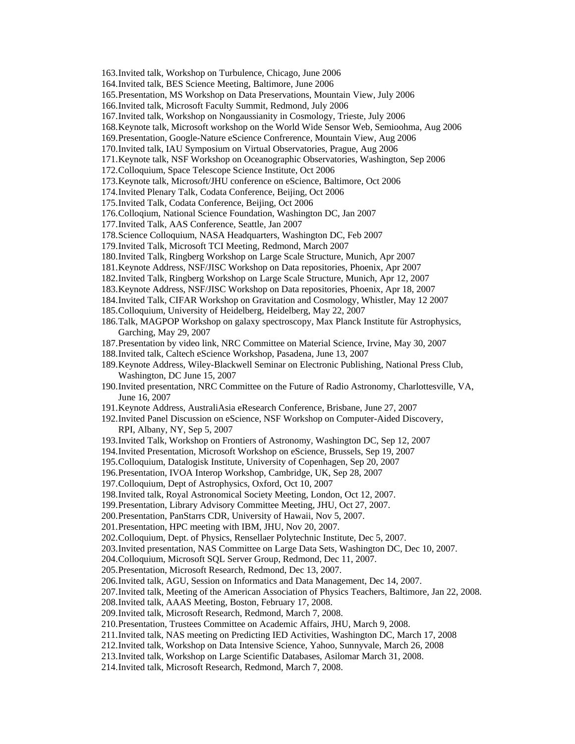163.Invited talk, Workshop on Turbulence, Chicago, June 2006 164.Invited talk, BES Science Meeting, Baltimore, June 2006 165.Presentation, MS Workshop on Data Preservations, Mountain View, July 2006 166.Invited talk, Microsoft Faculty Summit, Redmond, July 2006 167.Invited talk, Workshop on Nongaussianity in Cosmology, Trieste, July 2006 168.Keynote talk, Microsoft workshop on the World Wide Sensor Web, Semioohma, Aug 2006 169.Presentation, Google-Nature eScience Confrerence, Mountain View, Aug 2006 170.Invited talk, IAU Symposium on Virtual Observatories, Prague, Aug 2006 171.Keynote talk, NSF Workshop on Oceanographic Observatories, Washington, Sep 2006 172.Colloquium, Space Telescope Science Institute, Oct 2006 173.Keynote talk, Microsoft/JHU conference on eScience, Baltimore, Oct 2006 174.Invited Plenary Talk, Codata Conference, Beijing, Oct 2006 175.Invited Talk, Codata Conference, Beijing, Oct 2006 176.Colloqium, National Science Foundation, Washington DC, Jan 2007 177.Invited Talk, AAS Conference, Seattle, Jan 2007 178.Science Colloquium, NASA Headquarters, Washington DC, Feb 2007 179.Invited Talk, Microsoft TCI Meeting, Redmond, March 2007 180.Invited Talk, Ringberg Workshop on Large Scale Structure, Munich, Apr 2007 181.Keynote Address, NSF/JISC Workshop on Data repositories, Phoenix, Apr 2007 182.Invited Talk, Ringberg Workshop on Large Scale Structure, Munich, Apr 12, 2007 183.Keynote Address, NSF/JISC Workshop on Data repositories, Phoenix, Apr 18, 2007 184.Invited Talk, CIFAR Workshop on Gravitation and Cosmology, Whistler, May 12 2007 185.Colloquium, University of Heidelberg, Heidelberg, May 22, 2007 186.Talk, MAGPOP Workshop on galaxy spectroscopy, Max Planck Institute für Astrophysics, Garching, May 29, 2007 187.Presentation by video link, NRC Committee on Material Science, Irvine, May 30, 2007 188.Invited talk, Caltech eScience Workshop, Pasadena, June 13, 2007 189.Keynote Address, Wiley-Blackwell Seminar on Electronic Publishing, National Press Club, Washington, DC June 15, 2007 190.Invited presentation, NRC Committee on the Future of Radio Astronomy, Charlottesville, VA, June 16, 2007 191.Keynote Address, AustraliAsia eResearch Conference, Brisbane, June 27, 2007 192.Invited Panel Discussion on eScience, NSF Workshop on Computer-Aided Discovery, RPI, Albany, NY, Sep 5, 2007 193.Invited Talk, Workshop on Frontiers of Astronomy, Washington DC, Sep 12, 2007 194.Invited Presentation, Microsoft Workshop on eScience, Brussels, Sep 19, 2007 195.Colloquium, Datalogisk Institute, University of Copenhagen, Sep 20, 2007 196.Presentation, IVOA Interop Workshop, Cambridge, UK, Sep 28, 2007 197.Colloquium, Dept of Astrophysics, Oxford, Oct 10, 2007 198.Invited talk, Royal Astronomical Society Meeting, London, Oct 12, 2007. 199.Presentation, Library Advisory Committee Meeting, JHU, Oct 27, 2007. 200.Presentation, PanStarrs CDR, University of Hawaii, Nov 5, 2007. 201.Presentation, HPC meeting with IBM, JHU, Nov 20, 2007. 202.Colloquium, Dept. of Physics, Rensellaer Polytechnic Institute, Dec 5, 2007. 203.Invited presentation, NAS Committee on Large Data Sets, Washington DC, Dec 10, 2007. 204.Colloquium, Microsoft SQL Server Group, Redmond, Dec 11, 2007. 205.Presentation, Microsoft Research, Redmond, Dec 13, 2007. 206.Invited talk, AGU, Session on Informatics and Data Management, Dec 14, 2007. 207.Invited talk, Meeting of the American Association of Physics Teachers, Baltimore, Jan 22, 2008. 208.Invited talk, AAAS Meeting, Boston, February 17, 2008. 209.Invited talk, Microsoft Research, Redmond, March 7, 2008. 210.Presentation, Trustees Committee on Academic Affairs, JHU, March 9, 2008. 211.Invited talk, NAS meeting on Predicting IED Activities, Washington DC, March 17, 2008 212.Invited talk, Workshop on Data Intensive Science, Yahoo, Sunnyvale, March 26, 2008 213.Invited talk, Workshop on Large Scientific Databases, Asilomar March 31, 2008. 214.Invited talk, Microsoft Research, Redmond, March 7, 2008.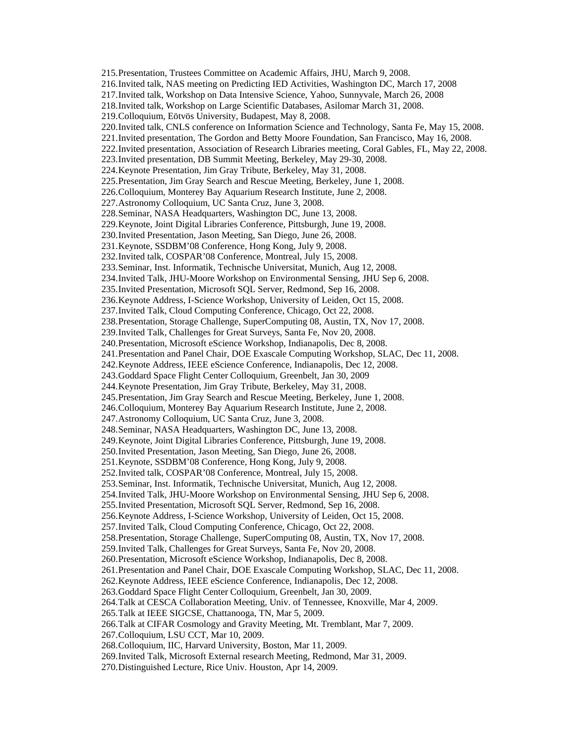215.Presentation, Trustees Committee on Academic Affairs, JHU, March 9, 2008. 216.Invited talk, NAS meeting on Predicting IED Activities, Washington DC, March 17, 2008 217.Invited talk, Workshop on Data Intensive Science, Yahoo, Sunnyvale, March 26, 2008 218.Invited talk, Workshop on Large Scientific Databases, Asilomar March 31, 2008. 219.Colloquium, Eötvös University, Budapest, May 8, 2008. 220.Invited talk, CNLS conference on Information Science and Technology, Santa Fe, May 15, 2008. 221.Invited presentation, The Gordon and Betty Moore Foundation, San Francisco, May 16, 2008. 222.Invited presentation, Association of Research Libraries meeting, Coral Gables, FL, May 22, 2008. 223.Invited presentation, DB Summit Meeting, Berkeley, May 29-30, 2008. 224.Keynote Presentation, Jim Gray Tribute, Berkeley, May 31, 2008. 225.Presentation, Jim Gray Search and Rescue Meeting, Berkeley, June 1, 2008. 226.Colloquium, Monterey Bay Aquarium Research Institute, June 2, 2008. 227.Astronomy Colloquium, UC Santa Cruz, June 3, 2008. 228.Seminar, NASA Headquarters, Washington DC, June 13, 2008. 229.Keynote, Joint Digital Libraries Conference, Pittsburgh, June 19, 2008. 230.Invited Presentation, Jason Meeting, San Diego, June 26, 2008. 231.Keynote, SSDBM'08 Conference, Hong Kong, July 9, 2008. 232.Invited talk, COSPAR'08 Conference, Montreal, July 15, 2008. 233.Seminar, Inst. Informatik, Technische Universitat, Munich, Aug 12, 2008. 234.Invited Talk, JHU-Moore Workshop on Environmental Sensing, JHU Sep 6, 2008. 235.Invited Presentation, Microsoft SQL Server, Redmond, Sep 16, 2008. 236.Keynote Address, I-Science Workshop, University of Leiden, Oct 15, 2008. 237.Invited Talk, Cloud Computing Conference, Chicago, Oct 22, 2008. 238.Presentation, Storage Challenge, SuperComputing 08, Austin, TX, Nov 17, 2008. 239.Invited Talk, Challenges for Great Surveys, Santa Fe, Nov 20, 2008. 240.Presentation, Microsoft eScience Workshop, Indianapolis, Dec 8, 2008. 241.Presentation and Panel Chair, DOE Exascale Computing Workshop, SLAC, Dec 11, 2008. 242.Keynote Address, IEEE eScience Conference, Indianapolis, Dec 12, 2008. 243.Goddard Space Flight Center Colloquium, Greenbelt, Jan 30, 2009 244.Keynote Presentation, Jim Gray Tribute, Berkeley, May 31, 2008. 245.Presentation, Jim Gray Search and Rescue Meeting, Berkeley, June 1, 2008. 246.Colloquium, Monterey Bay Aquarium Research Institute, June 2, 2008. 247.Astronomy Colloquium, UC Santa Cruz, June 3, 2008. 248.Seminar, NASA Headquarters, Washington DC, June 13, 2008. 249.Keynote, Joint Digital Libraries Conference, Pittsburgh, June 19, 2008. 250.Invited Presentation, Jason Meeting, San Diego, June 26, 2008. 251.Keynote, SSDBM'08 Conference, Hong Kong, July 9, 2008. 252.Invited talk, COSPAR'08 Conference, Montreal, July 15, 2008. 253.Seminar, Inst. Informatik, Technische Universitat, Munich, Aug 12, 2008. 254.Invited Talk, JHU-Moore Workshop on Environmental Sensing, JHU Sep 6, 2008. 255.Invited Presentation, Microsoft SQL Server, Redmond, Sep 16, 2008. 256.Keynote Address, I-Science Workshop, University of Leiden, Oct 15, 2008. 257.Invited Talk, Cloud Computing Conference, Chicago, Oct 22, 2008. 258.Presentation, Storage Challenge, SuperComputing 08, Austin, TX, Nov 17, 2008. 259.Invited Talk, Challenges for Great Surveys, Santa Fe, Nov 20, 2008. 260.Presentation, Microsoft eScience Workshop, Indianapolis, Dec 8, 2008. 261.Presentation and Panel Chair, DOE Exascale Computing Workshop, SLAC, Dec 11, 2008. 262.Keynote Address, IEEE eScience Conference, Indianapolis, Dec 12, 2008. 263.Goddard Space Flight Center Colloquium, Greenbelt, Jan 30, 2009. 264.Talk at CESCA Collaboration Meeting, Univ. of Tennessee, Knoxville, Mar 4, 2009. 265.Talk at IEEE SIGCSE, Chattanooga, TN, Mar 5, 2009. 266.Talk at CIFAR Cosmology and Gravity Meeting, Mt. Tremblant, Mar 7, 2009. 267.Colloquium, LSU CCT, Mar 10, 2009. 268.Colloquium, IIC, Harvard University, Boston, Mar 11, 2009. 269.Invited Talk, Microsoft External research Meeting, Redmond, Mar 31, 2009.

270.Distinguished Lecture, Rice Univ. Houston, Apr 14, 2009.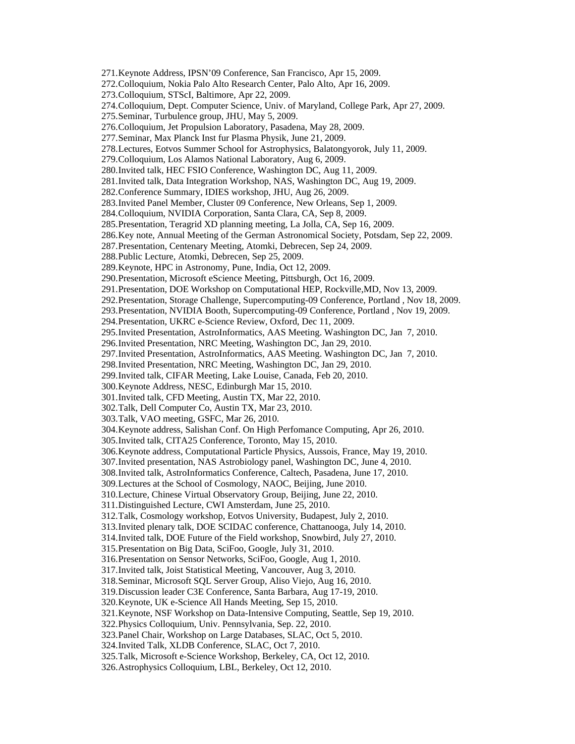271.Keynote Address, IPSN'09 Conference, San Francisco, Apr 15, 2009. 272.Colloquium, Nokia Palo Alto Research Center, Palo Alto, Apr 16, 2009. 273.Colloquium, STScI, Baltimore, Apr 22, 2009. 274.Colloquium, Dept. Computer Science, Univ. of Maryland, College Park, Apr 27, 2009. 275.Seminar, Turbulence group, JHU, May 5, 2009. 276.Colloquium, Jet Propulsion Laboratory, Pasadena, May 28, 2009. 277.Seminar, Max Planck Inst fur Plasma Physik, June 21, 2009. 278.Lectures, Eotvos Summer School for Astrophysics, Balatongyorok, July 11, 2009. 279.Colloquium, Los Alamos National Laboratory, Aug 6, 2009. 280.Invited talk, HEC FSIO Conference, Washington DC, Aug 11, 2009. 281.Invited talk, Data Integration Workshop, NAS, Washington DC, Aug 19, 2009. 282.Conference Summary, IDIES workshop, JHU, Aug 26, 2009. 283.Invited Panel Member, Cluster 09 Conference, New Orleans, Sep 1, 2009. 284.Colloquium, NVIDIA Corporation, Santa Clara, CA, Sep 8, 2009. 285.Presentation, Teragrid XD planning meeting, La Jolla, CA, Sep 16, 2009. 286.Key note, Annual Meeting of the German Astronomical Society, Potsdam, Sep 22, 2009. 287.Presentation, Centenary Meeting, Atomki, Debrecen, Sep 24, 2009. 288.Public Lecture, Atomki, Debrecen, Sep 25, 2009. 289.Keynote, HPC in Astronomy, Pune, India, Oct 12, 2009. 290.Presentation, Microsoft eScience Meeting, Pittsburgh, Oct 16, 2009. 291.Presentation, DOE Workshop on Computational HEP, Rockville,MD, Nov 13, 2009. 292.Presentation, Storage Challenge, Supercomputing-09 Conference, Portland , Nov 18, 2009. 293.Presentation, NVIDIA Booth, Supercomputing-09 Conference, Portland , Nov 19, 2009. 294.Presentation, UKRC e-Science Review, Oxford, Dec 11, 2009. 295.Invited Presentation, AstroInformatics, AAS Meeting. Washington DC, Jan 7, 2010. 296.Invited Presentation, NRC Meeting, Washington DC, Jan 29, 2010. 297.Invited Presentation, AstroInformatics, AAS Meeting. Washington DC, Jan 7, 2010. 298.Invited Presentation, NRC Meeting, Washington DC, Jan 29, 2010. 299.Invited talk, CIFAR Meeting, Lake Louise, Canada, Feb 20, 2010. 300.Keynote Address, NESC, Edinburgh Mar 15, 2010. 301.Invited talk, CFD Meeting, Austin TX, Mar 22, 2010. 302.Talk, Dell Computer Co, Austin TX, Mar 23, 2010. 303.Talk, VAO meeting, GSFC, Mar 26, 2010. 304.Keynote address, Salishan Conf. On High Perfomance Computing, Apr 26, 2010. 305.Invited talk, CITA25 Conference, Toronto, May 15, 2010. 306.Keynote address, Computational Particle Physics, Aussois, France, May 19, 2010. 307.Invited presentation, NAS Astrobiology panel, Washington DC, June 4, 2010. 308.Invited talk, AstroInformatics Conference, Caltech, Pasadena, June 17, 2010. 309.Lectures at the School of Cosmology, NAOC, Beijing, June 2010. 310.Lecture, Chinese Virtual Observatory Group, Beijing, June 22, 2010. 311.Distinguished Lecture, CWI Amsterdam, June 25, 2010. 312.Talk, Cosmology workshop, Eotvos University, Budapest, July 2, 2010. 313.Invited plenary talk, DOE SCIDAC conference, Chattanooga, July 14, 2010. 314.Invited talk, DOE Future of the Field workshop, Snowbird, July 27, 2010. 315.Presentation on Big Data, SciFoo, Google, July 31, 2010. 316.Presentation on Sensor Networks, SciFoo, Google, Aug 1, 2010. 317.Invited talk, Joist Statistical Meeting, Vancouver, Aug 3, 2010. 318.Seminar, Microsoft SQL Server Group, Aliso Viejo, Aug 16, 2010. 319.Discussion leader C3E Conference, Santa Barbara, Aug 17-19, 2010. 320.Keynote, UK e-Science All Hands Meeting, Sep 15, 2010. 321.Keynote, NSF Workshop on Data-Intensive Computing, Seattle, Sep 19, 2010. 322.Physics Colloquium, Univ. Pennsylvania, Sep. 22, 2010. 323.Panel Chair, Workshop on Large Databases, SLAC, Oct 5, 2010. 324.Invited Talk, XLDB Conference, SLAC, Oct 7, 2010. 325.Talk, Microsoft e-Science Workshop, Berkeley, CA, Oct 12, 2010. 326.Astrophysics Colloquium, LBL, Berkeley, Oct 12, 2010.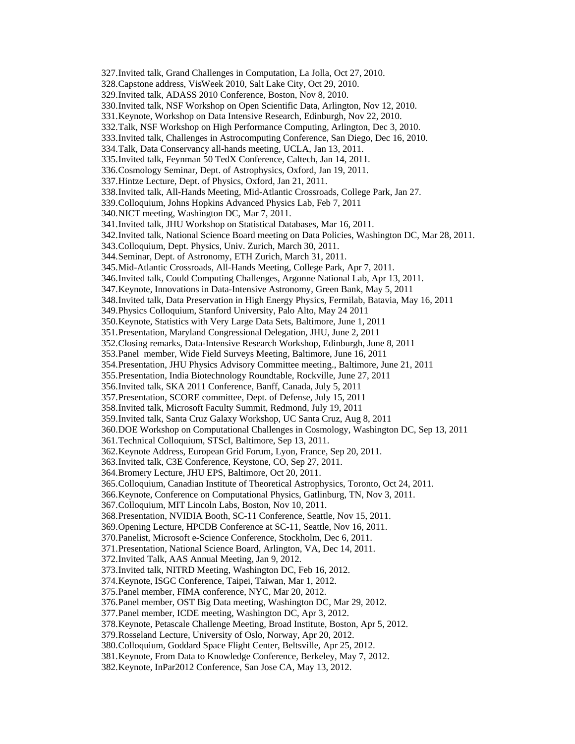327.Invited talk, Grand Challenges in Computation, La Jolla, Oct 27, 2010. 328.Capstone address, VisWeek 2010, Salt Lake City, Oct 29, 2010. 329.Invited talk, ADASS 2010 Conference, Boston, Nov 8, 2010. 330.Invited talk, NSF Workshop on Open Scientific Data, Arlington, Nov 12, 2010. 331.Keynote, Workshop on Data Intensive Research, Edinburgh, Nov 22, 2010. 332.Talk, NSF Workshop on High Performance Computing, Arlington, Dec 3, 2010. 333.Invited talk, Challenges in Astrocomputing Conference, San Diego, Dec 16, 2010. 334.Talk, Data Conservancy all-hands meeting, UCLA, Jan 13, 2011. 335.Invited talk, Feynman 50 TedX Conference, Caltech, Jan 14, 2011. 336.Cosmology Seminar, Dept. of Astrophysics, Oxford, Jan 19, 2011. 337.Hintze Lecture, Dept. of Physics, Oxford, Jan 21, 2011. 338.Invited talk, All-Hands Meeting, Mid-Atlantic Crossroads, College Park, Jan 27. 339.Colloquium, Johns Hopkins Advanced Physics Lab, Feb 7, 2011 340.NICT meeting, Washington DC, Mar 7, 2011. 341.Invited talk, JHU Workshop on Statistical Databases, Mar 16, 2011. 342.Invited talk, National Science Board meeting on Data Policies, Washington DC, Mar 28, 2011. 343.Colloquium, Dept. Physics, Univ. Zurich, March 30, 2011. 344.Seminar, Dept. of Astronomy, ETH Zurich, March 31, 2011. 345.Mid-Atlantic Crossroads, All-Hands Meeting, College Park, Apr 7, 2011. 346.Invited talk, Could Computing Challenges, Argonne National Lab, Apr 13, 2011. 347.Keynote, Innovations in Data-Intensive Astronomy, Green Bank, May 5, 2011 348.Invited talk, Data Preservation in High Energy Physics, Fermilab, Batavia, May 16, 2011 349.Physics Colloquium, Stanford University, Palo Alto, May 24 2011 350.Keynote, Statistics with Very Large Data Sets, Baltimore, June 1, 2011 351.Presentation, Maryland Congressional Delegation, JHU, June 2, 2011 352.Closing remarks, Data-Intensive Research Workshop, Edinburgh, June 8, 2011 353.Panel member, Wide Field Surveys Meeting, Baltimore, June 16, 2011 354.Presentation, JHU Physics Advisory Committee meeting., Baltimore, June 21, 2011 355.Presentation, India Biotechnology Roundtable, Rockville, June 27, 2011 356.Invited talk, SKA 2011 Conference, Banff, Canada, July 5, 2011 357.Presentation, SCORE committee, Dept. of Defense, July 15, 2011 358.Invited talk, Microsoft Faculty Summit, Redmond, July 19, 2011 359.Invited talk, Santa Cruz Galaxy Workshop, UC Santa Cruz, Aug 8, 2011 360.DOE Workshop on Computational Challenges in Cosmology, Washington DC, Sep 13, 2011 361.Technical Colloquium, STScI, Baltimore, Sep 13, 2011. 362.Keynote Address, European Grid Forum, Lyon, France, Sep 20, 2011. 363.Invited talk, C3E Conference, Keystone, CO, Sep 27, 2011. 364.Bromery Lecture, JHU EPS, Baltimore, Oct 20, 2011. 365.Colloquium, Canadian Institute of Theoretical Astrophysics, Toronto, Oct 24, 2011. 366.Keynote, Conference on Computational Physics, Gatlinburg, TN, Nov 3, 2011. 367.Colloquium, MIT Lincoln Labs, Boston, Nov 10, 2011. 368.Presentation, NVIDIA Booth, SC-11 Conference, Seattle, Nov 15, 2011. 369.Opening Lecture, HPCDB Conference at SC-11, Seattle, Nov 16, 2011. 370.Panelist, Microsoft e-Science Conference, Stockholm, Dec 6, 2011. 371.Presentation, National Science Board, Arlington, VA, Dec 14, 2011. 372.Invited Talk, AAS Annual Meeting, Jan 9, 2012. 373.Invited talk, NITRD Meeting, Washington DC, Feb 16, 2012. 374.Keynote, ISGC Conference, Taipei, Taiwan, Mar 1, 2012. 375.Panel member, FIMA conference, NYC, Mar 20, 2012. 376.Panel member, OST Big Data meeting, Washington DC, Mar 29, 2012. 377.Panel member, ICDE meeting, Washington DC, Apr 3, 2012. 378.Keynote, Petascale Challenge Meeting, Broad Institute, Boston, Apr 5, 2012. 379.Rosseland Lecture, University of Oslo, Norway, Apr 20, 2012. 380.Colloquium, Goddard Space Flight Center, Beltsville, Apr 25, 2012. 381.Keynote, From Data to Knowledge Conference, Berkeley, May 7, 2012. 382.Keynote, InPar2012 Conference, San Jose CA, May 13, 2012.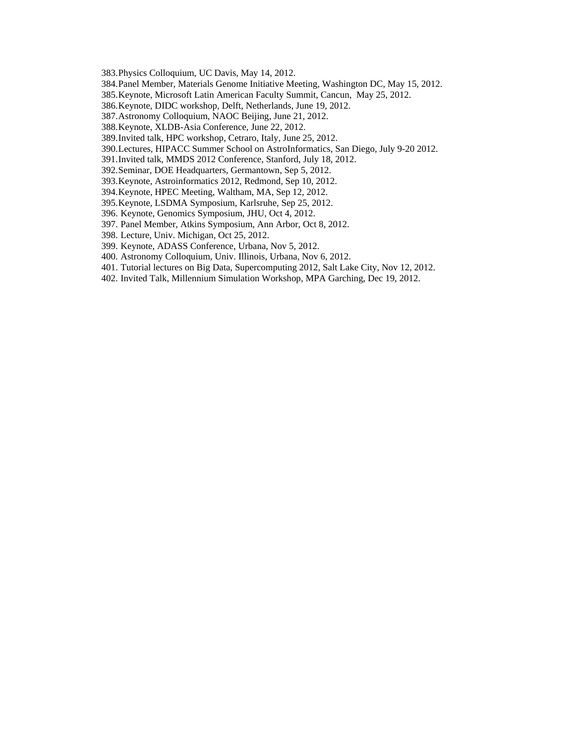383.Physics Colloquium, UC Davis, May 14, 2012.

384.Panel Member, Materials Genome Initiative Meeting, Washington DC, May 15, 2012.

385.Keynote, Microsoft Latin American Faculty Summit, Cancun, May 25, 2012.

386.Keynote, DIDC workshop, Delft, Netherlands, June 19, 2012.

387.Astronomy Colloquium, NAOC Beijing, June 21, 2012.

388.Keynote, XLDB-Asia Conference, June 22, 2012.

389.Invited talk, HPC workshop, Cetraro, Italy, June 25, 2012.

390.Lectures, HIPACC Summer School on AstroInformatics, San Diego, July 9-20 2012.

391.Invited talk, MMDS 2012 Conference, Stanford, July 18, 2012.

392.Seminar, DOE Headquarters, Germantown, Sep 5, 2012.

393.Keynote, Astroinformatics 2012, Redmond, Sep 10, 2012.

394.Keynote, HPEC Meeting, Waltham, MA, Sep 12, 2012.

395.Keynote, LSDMA Symposium, Karlsruhe, Sep 25, 2012.

396. Keynote, Genomics Symposium, JHU, Oct 4, 2012.

397. Panel Member, Atkins Symposium, Ann Arbor, Oct 8, 2012.

398. Lecture, Univ. Michigan, Oct 25, 2012.

399. Keynote, ADASS Conference, Urbana, Nov 5, 2012.

400. Astronomy Colloquium, Univ. Illinois, Urbana, Nov 6, 2012.

401. Tutorial lectures on Big Data, Supercomputing 2012, Salt Lake City, Nov 12, 2012.

402. Invited Talk, Millennium Simulation Workshop, MPA Garching, Dec 19, 2012.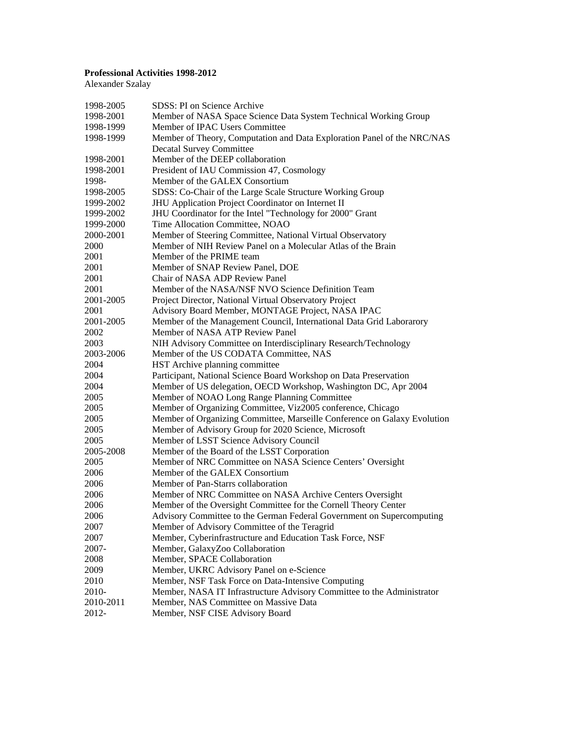## **Professional Activities 1998-2012**

Alexander Szalay

| 1998-2005 | SDSS: PI on Science Archive                                              |
|-----------|--------------------------------------------------------------------------|
| 1998-2001 | Member of NASA Space Science Data System Technical Working Group         |
| 1998-1999 | Member of IPAC Users Committee                                           |
| 1998-1999 | Member of Theory, Computation and Data Exploration Panel of the NRC/NAS  |
|           | <b>Decatal Survey Committee</b>                                          |
| 1998-2001 | Member of the DEEP collaboration                                         |
| 1998-2001 | President of IAU Commission 47, Cosmology                                |
| 1998-     | Member of the GALEX Consortium                                           |
| 1998-2005 | SDSS: Co-Chair of the Large Scale Structure Working Group                |
| 1999-2002 | JHU Application Project Coordinator on Internet II                       |
| 1999-2002 | JHU Coordinator for the Intel "Technology for 2000" Grant                |
| 1999-2000 | Time Allocation Committee, NOAO                                          |
| 2000-2001 | Member of Steering Committee, National Virtual Observatory               |
| 2000      | Member of NIH Review Panel on a Molecular Atlas of the Brain             |
| 2001      | Member of the PRIME team                                                 |
| 2001      | Member of SNAP Review Panel, DOE                                         |
| 2001      | Chair of NASA ADP Review Panel                                           |
| 2001      | Member of the NASA/NSF NVO Science Definition Team                       |
| 2001-2005 | Project Director, National Virtual Observatory Project                   |
| 2001      | Advisory Board Member, MONTAGE Project, NASA IPAC                        |
| 2001-2005 | Member of the Management Council, International Data Grid Laborarory     |
| 2002      | Member of NASA ATP Review Panel                                          |
| 2003      | NIH Advisory Committee on Interdisciplinary Research/Technology          |
| 2003-2006 | Member of the US CODATA Committee, NAS                                   |
| 2004      | HST Archive planning committee                                           |
| 2004      | Participant, National Science Board Workshop on Data Preservation        |
| 2004      | Member of US delegation, OECD Workshop, Washington DC, Apr 2004          |
| 2005      | Member of NOAO Long Range Planning Committee                             |
| 2005      | Member of Organizing Committee, Viz2005 conference, Chicago              |
| 2005      | Member of Organizing Committee, Marseille Conference on Galaxy Evolution |
| 2005      | Member of Advisory Group for 2020 Science, Microsoft                     |
| 2005      | Member of LSST Science Advisory Council                                  |
| 2005-2008 | Member of the Board of the LSST Corporation                              |
| 2005      | Member of NRC Committee on NASA Science Centers' Oversight               |
| 2006      | Member of the GALEX Consortium                                           |
| 2006      | Member of Pan-Starrs collaboration                                       |
| 2006      | Member of NRC Committee on NASA Archive Centers Oversight                |
| 2006      | Member of the Oversight Committee for the Cornell Theory Center          |
| 2006      | Advisory Committee to the German Federal Government on Supercomputing    |
| 2007      | Member of Advisory Committee of the Teragrid                             |
| 2007      | Member, Cyberinfrastructure and Education Task Force, NSF                |
| 2007-     | Member, GalaxyZoo Collaboration                                          |
| 2008      | Member, SPACE Collaboration                                              |
| 2009      | Member, UKRC Advisory Panel on e-Science                                 |
| 2010      | Member, NSF Task Force on Data-Intensive Computing                       |
| 2010-     | Member, NASA IT Infrastructure Advisory Committee to the Administrator   |
| 2010-2011 | Member, NAS Committee on Massive Data                                    |
| 2012-     | Member, NSF CISE Advisory Board                                          |